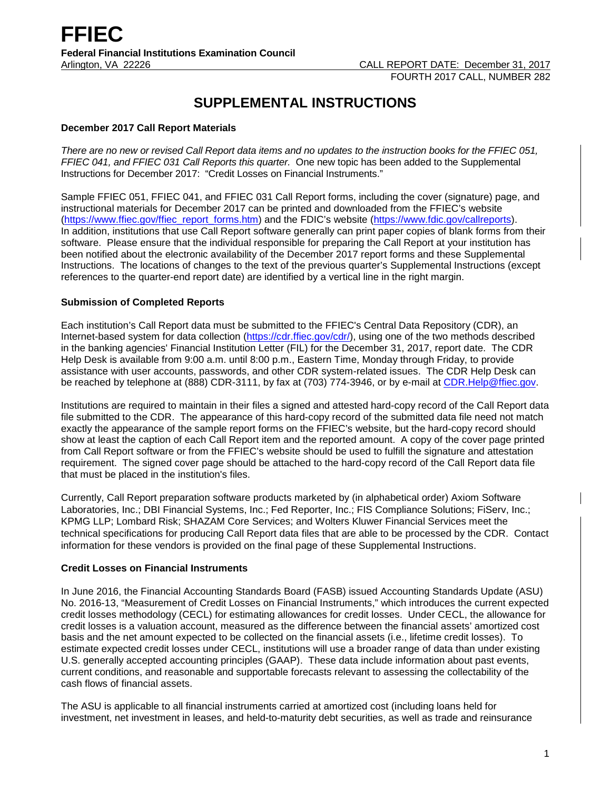# **SUPPLEMENTAL INSTRUCTIONS**

# **December 2017 Call Report Materials**

*There are no new or revised Call Report data items and no updates to the instruction books for the FFIEC 051, FFIEC 041, and FFIEC 031 Call Reports this quarter.* One new topic has been added to the Supplemental Instructions for December 2017: "Credit Losses on Financial Instruments."

Sample FFIEC 051, FFIEC 041, and FFIEC 031 Call Report forms, including the cover (signature) page, and instructional materials for December 2017 can be printed and downloaded from the FFIEC's website [\(https://www.ffiec.gov/ffiec\\_report\\_forms.htm\)](https://www.ffiec.gov/ffiec_report_forms.htm) and the FDIC's website [\(https://www.fdic.gov/callreports\)](https://www.fdic.gov/callreports). In addition, institutions that use Call Report software generally can print paper copies of blank forms from their software. Please ensure that the individual responsible for preparing the Call Report at your institution has been notified about the electronic availability of the December 2017 report forms and these Supplemental Instructions. The locations of changes to the text of the previous quarter's Supplemental Instructions (except references to the quarter-end report date) are identified by a vertical line in the right margin.

# **Submission of Completed Reports**

Each institution's Call Report data must be submitted to the FFIEC's Central Data Repository (CDR), an Internet-based system for data collection [\(https://cdr.ffiec.gov/cdr/\)](https://cdr.ffiec.gov/cdr/), using one of the two methods described in the banking agencies' Financial Institution Letter (FIL) for the December 31, 2017, report date. The CDR Help Desk is available from 9:00 a.m. until 8:00 p.m., Eastern Time, Monday through Friday, to provide assistance with user accounts, passwords, and other CDR system-related issues. The CDR Help Desk can be reached by telephone at (888) CDR-3111, by fax at (703) 774-3946, or by e-mail at CDR. Help@ffiec.gov.

Institutions are required to maintain in their files a signed and attested hard-copy record of the Call Report data file submitted to the CDR. The appearance of this hard-copy record of the submitted data file need not match exactly the appearance of the sample report forms on the FFIEC's website, but the hard-copy record should show at least the caption of each Call Report item and the reported amount. A copy of the cover page printed from Call Report software or from the FFIEC's website should be used to fulfill the signature and attestation requirement. The signed cover page should be attached to the hard-copy record of the Call Report data file that must be placed in the institution's files.

Currently, Call Report preparation software products marketed by (in alphabetical order) Axiom Software Laboratories, Inc.; DBI Financial Systems, Inc.; Fed Reporter, Inc.; FIS Compliance Solutions; FiServ, Inc.; KPMG LLP; Lombard Risk; SHAZAM Core Services; and Wolters Kluwer Financial Services meet the technical specifications for producing Call Report data files that are able to be processed by the CDR. Contact information for these vendors is provided on the final page of these Supplemental Instructions.

#### **Credit Losses on Financial Instruments**

In June 2016, the Financial Accounting Standards Board (FASB) issued Accounting Standards Update (ASU) No. 2016-13, "Measurement of Credit Losses on Financial Instruments," which introduces the current expected credit losses methodology (CECL) for estimating allowances for credit losses. Under CECL, the allowance for credit losses is a valuation account, measured as the difference between the financial assets' amortized cost basis and the net amount expected to be collected on the financial assets (i.e., lifetime credit losses). To estimate expected credit losses under CECL, institutions will use a broader range of data than under existing U.S. generally accepted accounting principles (GAAP). These data include information about past events, current conditions, and reasonable and supportable forecasts relevant to assessing the collectability of the cash flows of financial assets.

The ASU is applicable to all financial instruments carried at amortized cost (including loans held for investment, net investment in leases, and held-to-maturity debt securities, as well as trade and reinsurance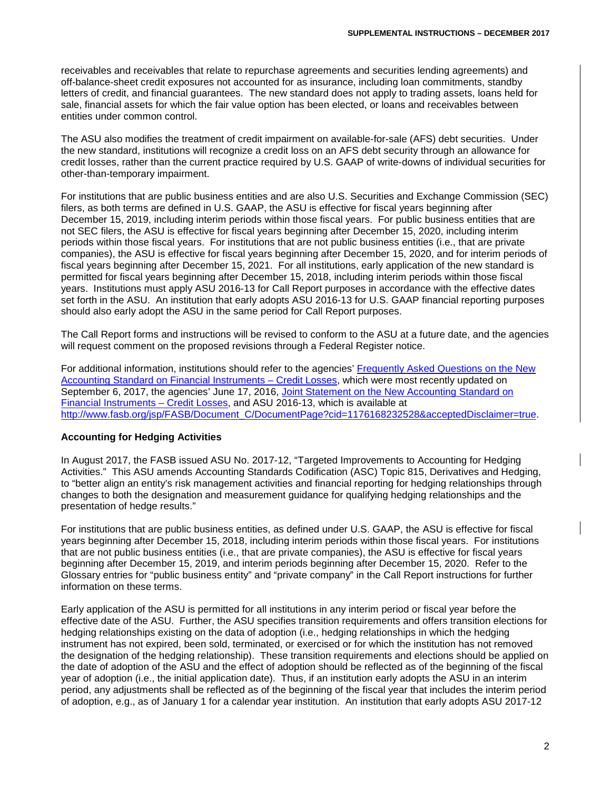receivables and receivables that relate to repurchase agreements and securities lending agreements) and off-balance-sheet credit exposures not accounted for as insurance, including loan commitments, standby letters of credit, and financial guarantees. The new standard does not apply to trading assets, loans held for sale, financial assets for which the fair value option has been elected, or loans and receivables between entities under common control.

The ASU also modifies the treatment of credit impairment on available-for-sale (AFS) debt securities. Under the new standard, institutions will recognize a credit loss on an AFS debt security through an allowance for credit losses, rather than the current practice required by U.S. GAAP of write-downs of individual securities for other-than-temporary impairment.

For institutions that are public business entities and are also U.S. Securities and Exchange Commission (SEC) filers, as both terms are defined in U.S. GAAP, the ASU is effective for fiscal years beginning after December 15, 2019, including interim periods within those fiscal years. For public business entities that are not SEC filers, the ASU is effective for fiscal years beginning after December 15, 2020, including interim periods within those fiscal years. For institutions that are not public business entities (i.e., that are private companies), the ASU is effective for fiscal years beginning after December 15, 2020, and for interim periods of fiscal years beginning after December 15, 2021. For all institutions, early application of the new standard is permitted for fiscal years beginning after December 15, 2018, including interim periods within those fiscal years. Institutions must apply ASU 2016-13 for Call Report purposes in accordance with the effective dates set forth in the ASU. An institution that early adopts ASU 2016-13 for U.S. GAAP financial reporting purposes should also early adopt the ASU in the same period for Call Report purposes.

The Call Report forms and instructions will be revised to conform to the ASU at a future date, and the agencies will request comment on the proposed revisions through a Federal Register notice.

For additional information, institutions should refer to the agencies' [Frequently Asked Questions on the New](https://www.occ.treas.gov/news-issuances/bulletins/2016/bulletin-2016-45a.pdf)  [Accounting Standard on Financial Instruments –](https://www.occ.treas.gov/news-issuances/bulletins/2016/bulletin-2016-45a.pdf) Credit Losses, which were most recently updated on September 6, 2017, the agencies' June 17, 2016, [Joint Statement on the New Accounting Standard on](https://www.federalreserve.gov/newsevents/pressreleases/files/bcreg20160617b1.pdf)  [Financial Instruments –](https://www.federalreserve.gov/newsevents/pressreleases/files/bcreg20160617b1.pdf) Credit Losses, and ASU 2016-13, which is available at [http://www.fasb.org/jsp/FASB/Document\\_C/DocumentPage?cid=1176168232528&acceptedDisclaimer=true.](http://www.fasb.org/jsp/FASB/Document_C/DocumentPage?cid=1176168232528&acceptedDisclaimer=true)

#### **Accounting for Hedging Activities**

In August 2017, the FASB issued ASU No. 2017-12, "Targeted Improvements to Accounting for Hedging Activities." This ASU amends Accounting Standards Codification (ASC) Topic 815, Derivatives and Hedging, to "better align an entity's risk management activities and financial reporting for hedging relationships through changes to both the designation and measurement guidance for qualifying hedging relationships and the presentation of hedge results."

For institutions that are public business entities, as defined under U.S. GAAP, the ASU is effective for fiscal years beginning after December 15, 2018, including interim periods within those fiscal years. For institutions that are not public business entities (i.e., that are private companies), the ASU is effective for fiscal years beginning after December 15, 2019, and interim periods beginning after December 15, 2020. Refer to the Glossary entries for "public business entity" and "private company" in the Call Report instructions for further information on these terms.

Early application of the ASU is permitted for all institutions in any interim period or fiscal year before the effective date of the ASU. Further, the ASU specifies transition requirements and offers transition elections for hedging relationships existing on the data of adoption (i.e., hedging relationships in which the hedging instrument has not expired, been sold, terminated, or exercised or for which the institution has not removed the designation of the hedging relationship). These transition requirements and elections should be applied on the date of adoption of the ASU and the effect of adoption should be reflected as of the beginning of the fiscal year of adoption (i.e., the initial application date). Thus, if an institution early adopts the ASU in an interim period, any adjustments shall be reflected as of the beginning of the fiscal year that includes the interim period of adoption, e.g., as of January 1 for a calendar year institution. An institution that early adopts ASU 2017-12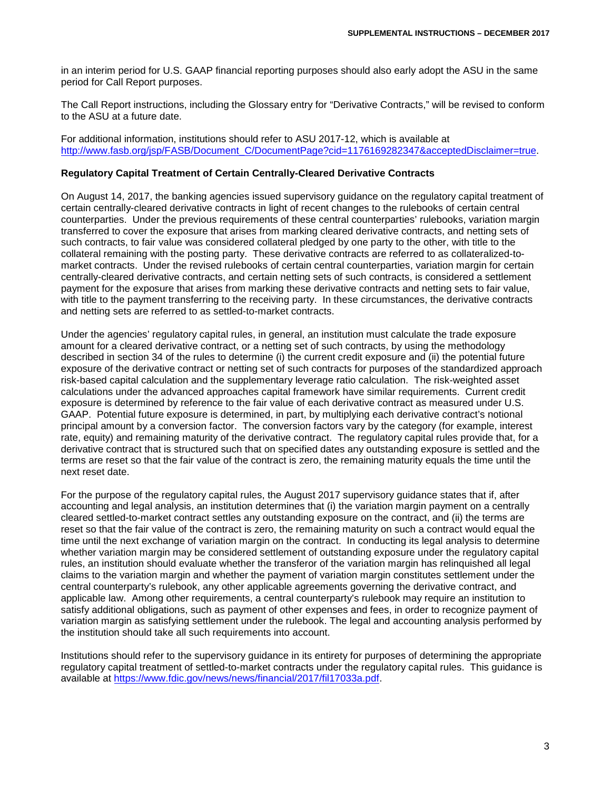in an interim period for U.S. GAAP financial reporting purposes should also early adopt the ASU in the same period for Call Report purposes.

The Call Report instructions, including the Glossary entry for "Derivative Contracts," will be revised to conform to the ASU at a future date.

For additional information, institutions should refer to ASU 2017-12, which is available at [http://www.fasb.org/jsp/FASB/Document\\_C/DocumentPage?cid=1176169282347&acceptedDisclaimer=true.](http://www.fasb.org/jsp/FASB/Document_C/DocumentPage?cid=1176169282347&acceptedDisclaimer=true)

#### **Regulatory Capital Treatment of Certain Centrally-Cleared Derivative Contracts**

On August 14, 2017, the banking agencies issued supervisory guidance on the regulatory capital treatment of certain centrally-cleared derivative contracts in light of recent changes to the rulebooks of certain central counterparties. Under the previous requirements of these central counterparties' rulebooks, variation margin transferred to cover the exposure that arises from marking cleared derivative contracts, and netting sets of such contracts, to fair value was considered collateral pledged by one party to the other, with title to the collateral remaining with the posting party. These derivative contracts are referred to as collateralized-tomarket contracts. Under the revised rulebooks of certain central counterparties, variation margin for certain centrally-cleared derivative contracts, and certain netting sets of such contracts, is considered a settlement payment for the exposure that arises from marking these derivative contracts and netting sets to fair value, with title to the payment transferring to the receiving party. In these circumstances, the derivative contracts and netting sets are referred to as settled-to-market contracts.

Under the agencies' regulatory capital rules, in general, an institution must calculate the trade exposure amount for a cleared derivative contract, or a netting set of such contracts, by using the methodology described in section 34 of the rules to determine (i) the current credit exposure and (ii) the potential future exposure of the derivative contract or netting set of such contracts for purposes of the standardized approach risk-based capital calculation and the supplementary leverage ratio calculation. The risk-weighted asset calculations under the advanced approaches capital framework have similar requirements. Current credit exposure is determined by reference to the fair value of each derivative contract as measured under U.S. GAAP. Potential future exposure is determined, in part, by multiplying each derivative contract's notional principal amount by a conversion factor. The conversion factors vary by the category (for example, interest rate, equity) and remaining maturity of the derivative contract. The regulatory capital rules provide that, for a derivative contract that is structured such that on specified dates any outstanding exposure is settled and the terms are reset so that the fair value of the contract is zero, the remaining maturity equals the time until the next reset date.

For the purpose of the regulatory capital rules, the August 2017 supervisory guidance states that if, after accounting and legal analysis, an institution determines that (i) the variation margin payment on a centrally cleared settled-to-market contract settles any outstanding exposure on the contract, and (ii) the terms are reset so that the fair value of the contract is zero, the remaining maturity on such a contract would equal the time until the next exchange of variation margin on the contract. In conducting its legal analysis to determine whether variation margin may be considered settlement of outstanding exposure under the regulatory capital rules, an institution should evaluate whether the transferor of the variation margin has relinquished all legal claims to the variation margin and whether the payment of variation margin constitutes settlement under the central counterparty's rulebook, any other applicable agreements governing the derivative contract, and applicable law. Among other requirements, a central counterparty's rulebook may require an institution to satisfy additional obligations, such as payment of other expenses and fees, in order to recognize payment of variation margin as satisfying settlement under the rulebook. The legal and accounting analysis performed by the institution should take all such requirements into account.

Institutions should refer to the supervisory guidance in its entirety for purposes of determining the appropriate regulatory capital treatment of settled-to-market contracts under the regulatory capital rules. This guidance is available at [https://www.fdic.gov/news/news/financial/2017/fil17033a.pdf.](https://www.fdic.gov/news/news/financial/2017/fil17033a.pdf)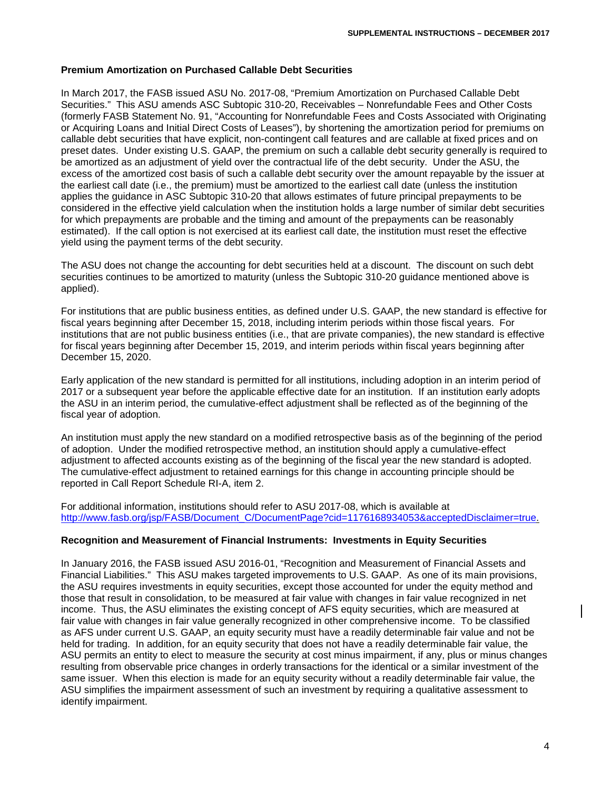#### **Premium Amortization on Purchased Callable Debt Securities**

In March 2017, the FASB issued ASU No. 2017-08, "Premium Amortization on Purchased Callable Debt Securities." This ASU amends ASC Subtopic 310-20, Receivables – Nonrefundable Fees and Other Costs (formerly FASB Statement No. 91, "Accounting for Nonrefundable Fees and Costs Associated with Originating or Acquiring Loans and Initial Direct Costs of Leases"), by shortening the amortization period for premiums on callable debt securities that have explicit, non-contingent call features and are callable at fixed prices and on preset dates. Under existing U.S. GAAP, the premium on such a callable debt security generally is required to be amortized as an adjustment of yield over the contractual life of the debt security. Under the ASU, the excess of the amortized cost basis of such a callable debt security over the amount repayable by the issuer at the earliest call date (i.e., the premium) must be amortized to the earliest call date (unless the institution applies the guidance in ASC Subtopic 310-20 that allows estimates of future principal prepayments to be considered in the effective yield calculation when the institution holds a large number of similar debt securities for which prepayments are probable and the timing and amount of the prepayments can be reasonably estimated). If the call option is not exercised at its earliest call date, the institution must reset the effective yield using the payment terms of the debt security.

The ASU does not change the accounting for debt securities held at a discount. The discount on such debt securities continues to be amortized to maturity (unless the Subtopic 310-20 guidance mentioned above is applied).

For institutions that are public business entities, as defined under U.S. GAAP, the new standard is effective for fiscal years beginning after December 15, 2018, including interim periods within those fiscal years. For institutions that are not public business entities (i.e., that are private companies), the new standard is effective for fiscal years beginning after December 15, 2019, and interim periods within fiscal years beginning after December 15, 2020.

Early application of the new standard is permitted for all institutions, including adoption in an interim period of 2017 or a subsequent year before the applicable effective date for an institution. If an institution early adopts the ASU in an interim period, the cumulative-effect adjustment shall be reflected as of the beginning of the fiscal year of adoption.

An institution must apply the new standard on a modified retrospective basis as of the beginning of the period of adoption. Under the modified retrospective method, an institution should apply a cumulative-effect adjustment to affected accounts existing as of the beginning of the fiscal year the new standard is adopted. The cumulative-effect adjustment to retained earnings for this change in accounting principle should be reported in Call Report Schedule RI-A, item 2.

For additional information, institutions should refer to ASU 2017-08, which is available at [http://www.fasb.org/jsp/FASB/Document\\_C/DocumentPage?cid=1176168934053&acceptedDisclaimer=true.](http://www.fasb.org/jsp/FASB/Document_C/DocumentPage?cid=1176168934053&acceptedDisclaimer=true)

#### **Recognition and Measurement of Financial Instruments: Investments in Equity Securities**

In January 2016, the FASB issued ASU 2016-01, "Recognition and Measurement of Financial Assets and Financial Liabilities." This ASU makes targeted improvements to U.S. GAAP. As one of its main provisions, the ASU requires investments in equity securities, except those accounted for under the equity method and those that result in consolidation, to be measured at fair value with changes in fair value recognized in net income. Thus, the ASU eliminates the existing concept of AFS equity securities, which are measured at fair value with changes in fair value generally recognized in other comprehensive income. To be classified as AFS under current U.S. GAAP, an equity security must have a readily determinable fair value and not be held for trading. In addition, for an equity security that does not have a readily determinable fair value, the ASU permits an entity to elect to measure the security at cost minus impairment, if any, plus or minus changes resulting from observable price changes in orderly transactions for the identical or a similar investment of the same issuer. When this election is made for an equity security without a readily determinable fair value, the ASU simplifies the impairment assessment of such an investment by requiring a qualitative assessment to identify impairment.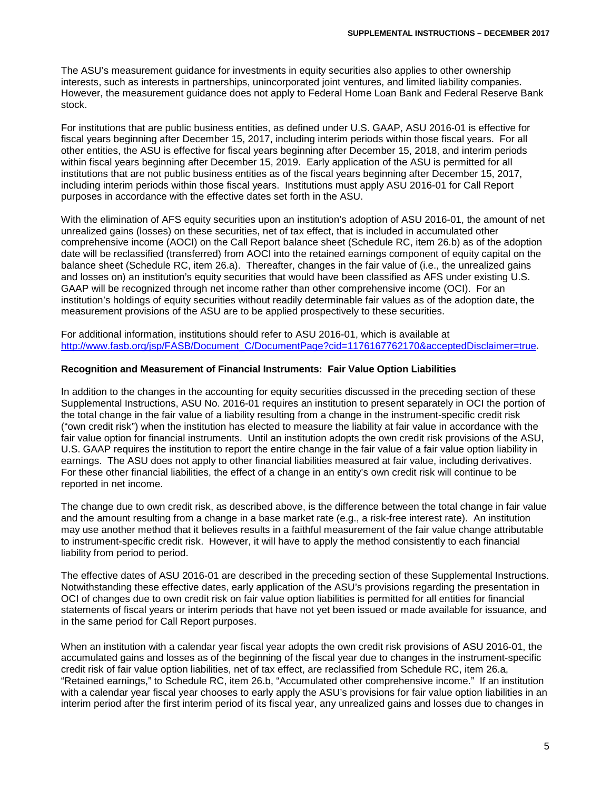The ASU's measurement guidance for investments in equity securities also applies to other ownership interests, such as interests in partnerships, unincorporated joint ventures, and limited liability companies. However, the measurement guidance does not apply to Federal Home Loan Bank and Federal Reserve Bank stock.

For institutions that are public business entities, as defined under U.S. GAAP, ASU 2016-01 is effective for fiscal years beginning after December 15, 2017, including interim periods within those fiscal years. For all other entities, the ASU is effective for fiscal years beginning after December 15, 2018, and interim periods within fiscal years beginning after December 15, 2019. Early application of the ASU is permitted for all institutions that are not public business entities as of the fiscal years beginning after December 15, 2017, including interim periods within those fiscal years. Institutions must apply ASU 2016-01 for Call Report purposes in accordance with the effective dates set forth in the ASU.

With the elimination of AFS equity securities upon an institution's adoption of ASU 2016-01, the amount of net unrealized gains (losses) on these securities, net of tax effect, that is included in accumulated other comprehensive income (AOCI) on the Call Report balance sheet (Schedule RC, item 26.b) as of the adoption date will be reclassified (transferred) from AOCI into the retained earnings component of equity capital on the balance sheet (Schedule RC, item 26.a). Thereafter, changes in the fair value of (i.e., the unrealized gains and losses on) an institution's equity securities that would have been classified as AFS under existing U.S. GAAP will be recognized through net income rather than other comprehensive income (OCI). For an institution's holdings of equity securities without readily determinable fair values as of the adoption date, the measurement provisions of the ASU are to be applied prospectively to these securities.

For additional information, institutions should refer to ASU 2016-01, which is available at [http://www.fasb.org/jsp/FASB/Document\\_C/DocumentPage?cid=1176167762170&acceptedDisclaimer=true.](http://www.fasb.org/jsp/FASB/Document_C/DocumentPage?cid=1176167762170&acceptedDisclaimer=true)

#### **Recognition and Measurement of Financial Instruments: Fair Value Option Liabilities**

In addition to the changes in the accounting for equity securities discussed in the preceding section of these Supplemental Instructions, ASU No. 2016-01 requires an institution to present separately in OCI the portion of the total change in the fair value of a liability resulting from a change in the instrument-specific credit risk ("own credit risk") when the institution has elected to measure the liability at fair value in accordance with the fair value option for financial instruments. Until an institution adopts the own credit risk provisions of the ASU, U.S. GAAP requires the institution to report the entire change in the fair value of a fair value option liability in earnings. The ASU does not apply to other financial liabilities measured at fair value, including derivatives. For these other financial liabilities, the effect of a change in an entity's own credit risk will continue to be reported in net income.

The change due to own credit risk, as described above, is the difference between the total change in fair value and the amount resulting from a change in a base market rate (e.g., a risk-free interest rate). An institution may use another method that it believes results in a faithful measurement of the fair value change attributable to instrument-specific credit risk. However, it will have to apply the method consistently to each financial liability from period to period.

The effective dates of ASU 2016-01 are described in the preceding section of these Supplemental Instructions. Notwithstanding these effective dates, early application of the ASU's provisions regarding the presentation in OCI of changes due to own credit risk on fair value option liabilities is permitted for all entities for financial statements of fiscal years or interim periods that have not yet been issued or made available for issuance, and in the same period for Call Report purposes.

When an institution with a calendar year fiscal year adopts the own credit risk provisions of ASU 2016-01, the accumulated gains and losses as of the beginning of the fiscal year due to changes in the instrument-specific credit risk of fair value option liabilities, net of tax effect, are reclassified from Schedule RC, item 26.a, "Retained earnings," to Schedule RC, item 26.b, "Accumulated other comprehensive income." If an institution with a calendar year fiscal year chooses to early apply the ASU's provisions for fair value option liabilities in an interim period after the first interim period of its fiscal year, any unrealized gains and losses due to changes in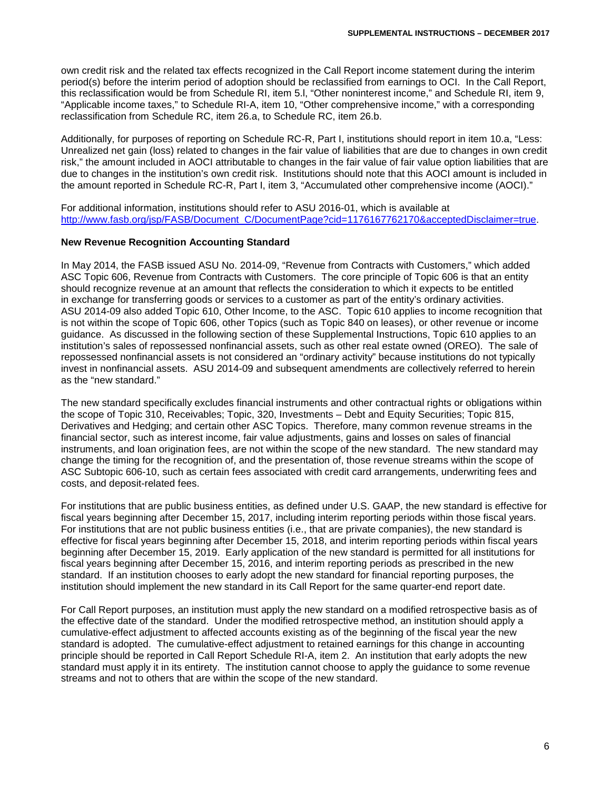own credit risk and the related tax effects recognized in the Call Report income statement during the interim period(s) before the interim period of adoption should be reclassified from earnings to OCI. In the Call Report, this reclassification would be from Schedule RI, item 5.l, "Other noninterest income," and Schedule RI, item 9, "Applicable income taxes," to Schedule RI-A, item 10, "Other comprehensive income," with a corresponding reclassification from Schedule RC, item 26.a, to Schedule RC, item 26.b.

Additionally, for purposes of reporting on Schedule RC-R, Part I, institutions should report in item 10.a, "Less: Unrealized net gain (loss) related to changes in the fair value of liabilities that are due to changes in own credit risk," the amount included in AOCI attributable to changes in the fair value of fair value option liabilities that are due to changes in the institution's own credit risk. Institutions should note that this AOCI amount is included in the amount reported in Schedule RC-R, Part I, item 3, "Accumulated other comprehensive income (AOCI)."

For additional information, institutions should refer to ASU 2016-01, which is available at [http://www.fasb.org/jsp/FASB/Document\\_C/DocumentPage?cid=1176167762170&acceptedDisclaimer=true.](http://www.fasb.org/jsp/FASB/Document_C/DocumentPage?cid=1176167762170&acceptedDisclaimer=true)

#### **New Revenue Recognition Accounting Standard**

In May 2014, the FASB issued ASU No. 2014-09, "Revenue from Contracts with Customers," which added ASC Topic 606, Revenue from Contracts with Customers. The core principle of Topic 606 is that an entity should recognize revenue at an amount that reflects the consideration to which it expects to be entitled in exchange for transferring goods or services to a customer as part of the entity's ordinary activities. ASU 2014-09 also added Topic 610, Other Income, to the ASC. Topic 610 applies to income recognition that is not within the scope of Topic 606, other Topics (such as Topic 840 on leases), or other revenue or income guidance. As discussed in the following section of these Supplemental Instructions, Topic 610 applies to an institution's sales of repossessed nonfinancial assets, such as other real estate owned (OREO). The sale of repossessed nonfinancial assets is not considered an "ordinary activity" because institutions do not typically invest in nonfinancial assets. ASU 2014-09 and subsequent amendments are collectively referred to herein as the "new standard."

The new standard specifically excludes financial instruments and other contractual rights or obligations within the scope of Topic 310, Receivables; Topic, 320, Investments – Debt and Equity Securities; Topic 815, Derivatives and Hedging; and certain other ASC Topics. Therefore, many common revenue streams in the financial sector, such as interest income, fair value adjustments, gains and losses on sales of financial instruments, and loan origination fees, are not within the scope of the new standard. The new standard may change the timing for the recognition of, and the presentation of, those revenue streams within the scope of ASC Subtopic 606-10, such as certain fees associated with credit card arrangements, underwriting fees and costs, and deposit-related fees.

For institutions that are public business entities, as defined under U.S. GAAP, the new standard is effective for fiscal years beginning after December 15, 2017, including interim reporting periods within those fiscal years. For institutions that are not public business entities (i.e., that are private companies), the new standard is effective for fiscal years beginning after December 15, 2018, and interim reporting periods within fiscal years beginning after December 15, 2019. Early application of the new standard is permitted for all institutions for fiscal years beginning after December 15, 2016, and interim reporting periods as prescribed in the new standard. If an institution chooses to early adopt the new standard for financial reporting purposes, the institution should implement the new standard in its Call Report for the same quarter-end report date.

For Call Report purposes, an institution must apply the new standard on a modified retrospective basis as of the effective date of the standard. Under the modified retrospective method, an institution should apply a cumulative-effect adjustment to affected accounts existing as of the beginning of the fiscal year the new standard is adopted. The cumulative-effect adjustment to retained earnings for this change in accounting principle should be reported in Call Report Schedule RI-A, item 2. An institution that early adopts the new standard must apply it in its entirety. The institution cannot choose to apply the guidance to some revenue streams and not to others that are within the scope of the new standard.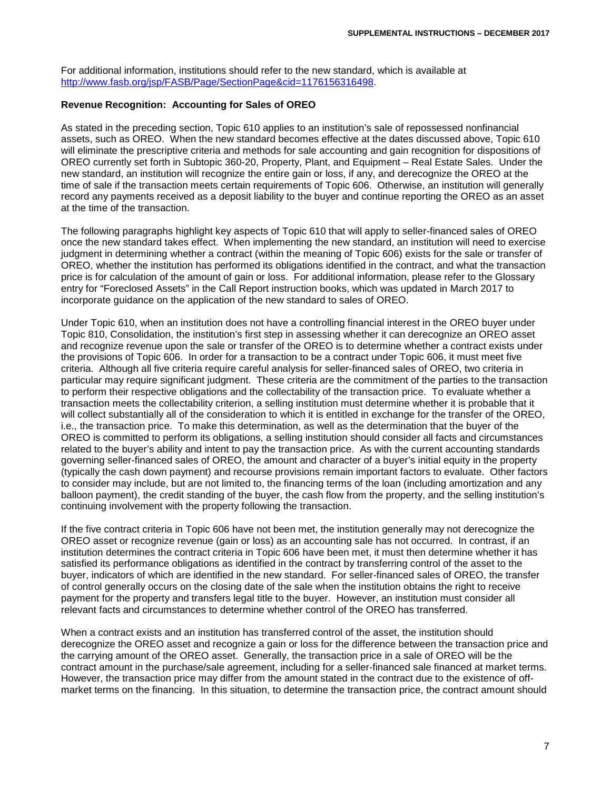For additional information, institutions should refer to the new standard, which is available at [http://www.fasb.org/jsp/FASB/Page/SectionPage&cid=1176156316498.](http://www.fasb.org/jsp/FASB/Page/SectionPage&cid=1176156316498)

# **Revenue Recognition: Accounting for Sales of OREO**

As stated in the preceding section, Topic 610 applies to an institution's sale of repossessed nonfinancial assets, such as OREO. When the new standard becomes effective at the dates discussed above, Topic 610 will eliminate the prescriptive criteria and methods for sale accounting and gain recognition for dispositions of OREO currently set forth in Subtopic 360-20, Property, Plant, and Equipment – Real Estate Sales. Under the new standard, an institution will recognize the entire gain or loss, if any, and derecognize the OREO at the time of sale if the transaction meets certain requirements of Topic 606. Otherwise, an institution will generally record any payments received as a deposit liability to the buyer and continue reporting the OREO as an asset at the time of the transaction.

The following paragraphs highlight key aspects of Topic 610 that will apply to seller-financed sales of OREO once the new standard takes effect. When implementing the new standard, an institution will need to exercise judgment in determining whether a contract (within the meaning of Topic 606) exists for the sale or transfer of OREO, whether the institution has performed its obligations identified in the contract, and what the transaction price is for calculation of the amount of gain or loss. For additional information, please refer to the Glossary entry for "Foreclosed Assets" in the Call Report instruction books, which was updated in March 2017 to incorporate guidance on the application of the new standard to sales of OREO.

Under Topic 610, when an institution does not have a controlling financial interest in the OREO buyer under Topic 810, Consolidation, the institution's first step in assessing whether it can derecognize an OREO asset and recognize revenue upon the sale or transfer of the OREO is to determine whether a contract exists under the provisions of Topic 606. In order for a transaction to be a contract under Topic 606, it must meet five criteria. Although all five criteria require careful analysis for seller-financed sales of OREO, two criteria in particular may require significant judgment. These criteria are the commitment of the parties to the transaction to perform their respective obligations and the collectability of the transaction price. To evaluate whether a transaction meets the collectability criterion, a selling institution must determine whether it is probable that it will collect substantially all of the consideration to which it is entitled in exchange for the transfer of the OREO, i.e., the transaction price. To make this determination, as well as the determination that the buyer of the OREO is committed to perform its obligations, a selling institution should consider all facts and circumstances related to the buyer's ability and intent to pay the transaction price. As with the current accounting standards governing seller-financed sales of OREO, the amount and character of a buyer's initial equity in the property (typically the cash down payment) and recourse provisions remain important factors to evaluate. Other factors to consider may include, but are not limited to, the financing terms of the loan (including amortization and any balloon payment), the credit standing of the buyer, the cash flow from the property, and the selling institution's continuing involvement with the property following the transaction.

If the five contract criteria in Topic 606 have not been met, the institution generally may not derecognize the OREO asset or recognize revenue (gain or loss) as an accounting sale has not occurred. In contrast, if an institution determines the contract criteria in Topic 606 have been met, it must then determine whether it has satisfied its performance obligations as identified in the contract by transferring control of the asset to the buyer, indicators of which are identified in the new standard. For seller-financed sales of OREO, the transfer of control generally occurs on the closing date of the sale when the institution obtains the right to receive payment for the property and transfers legal title to the buyer. However, an institution must consider all relevant facts and circumstances to determine whether control of the OREO has transferred.

When a contract exists and an institution has transferred control of the asset, the institution should derecognize the OREO asset and recognize a gain or loss for the difference between the transaction price and the carrying amount of the OREO asset. Generally, the transaction price in a sale of OREO will be the contract amount in the purchase/sale agreement, including for a seller-financed sale financed at market terms. However, the transaction price may differ from the amount stated in the contract due to the existence of offmarket terms on the financing. In this situation, to determine the transaction price, the contract amount should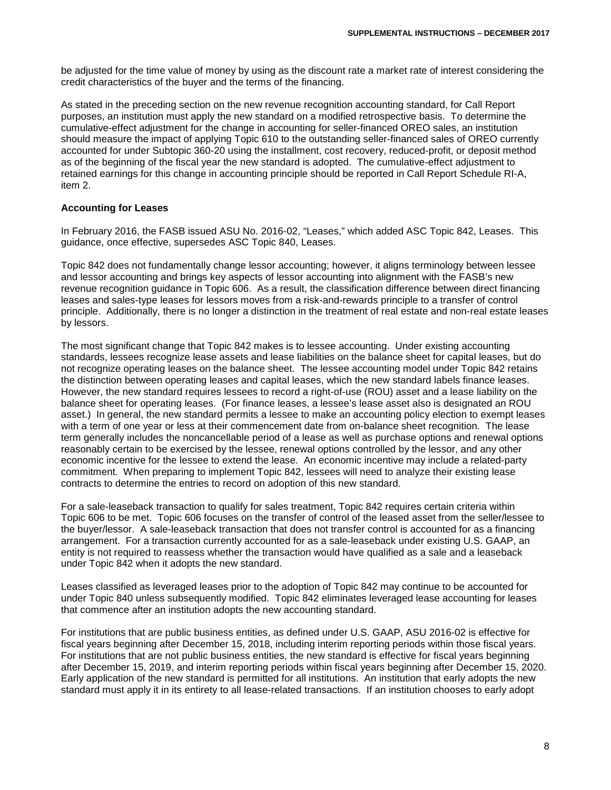be adjusted for the time value of money by using as the discount rate a market rate of interest considering the credit characteristics of the buyer and the terms of the financing.

As stated in the preceding section on the new revenue recognition accounting standard, for Call Report purposes, an institution must apply the new standard on a modified retrospective basis. To determine the cumulative-effect adjustment for the change in accounting for seller-financed OREO sales, an institution should measure the impact of applying Topic 610 to the outstanding seller-financed sales of OREO currently accounted for under Subtopic 360-20 using the installment, cost recovery, reduced-profit, or deposit method as of the beginning of the fiscal year the new standard is adopted. The cumulative-effect adjustment to retained earnings for this change in accounting principle should be reported in Call Report Schedule RI-A, item 2.

#### **Accounting for Leases**

In February 2016, the FASB issued ASU No. 2016-02, "Leases," which added ASC Topic 842, Leases. This guidance, once effective, supersedes ASC Topic 840, Leases.

Topic 842 does not fundamentally change lessor accounting; however, it aligns terminology between lessee and lessor accounting and brings key aspects of lessor accounting into alignment with the FASB's new revenue recognition guidance in Topic 606. As a result, the classification difference between direct financing leases and sales-type leases for lessors moves from a risk-and-rewards principle to a transfer of control principle. Additionally, there is no longer a distinction in the treatment of real estate and non-real estate leases by lessors.

The most significant change that Topic 842 makes is to lessee accounting. Under existing accounting standards, lessees recognize lease assets and lease liabilities on the balance sheet for capital leases, but do not recognize operating leases on the balance sheet. The lessee accounting model under Topic 842 retains the distinction between operating leases and capital leases, which the new standard labels finance leases. However, the new standard requires lessees to record a right-of-use (ROU) asset and a lease liability on the balance sheet for operating leases. (For finance leases, a lessee's lease asset also is designated an ROU asset.) In general, the new standard permits a lessee to make an accounting policy election to exempt leases with a term of one year or less at their commencement date from on-balance sheet recognition. The lease term generally includes the noncancellable period of a lease as well as purchase options and renewal options reasonably certain to be exercised by the lessee, renewal options controlled by the lessor, and any other economic incentive for the lessee to extend the lease. An economic incentive may include a related-party commitment. When preparing to implement Topic 842, lessees will need to analyze their existing lease contracts to determine the entries to record on adoption of this new standard.

For a sale-leaseback transaction to qualify for sales treatment, Topic 842 requires certain criteria within Topic 606 to be met. Topic 606 focuses on the transfer of control of the leased asset from the seller/lessee to the buyer/lessor. A sale-leaseback transaction that does not transfer control is accounted for as a financing arrangement. For a transaction currently accounted for as a sale-leaseback under existing U.S. GAAP, an entity is not required to reassess whether the transaction would have qualified as a sale and a leaseback under Topic 842 when it adopts the new standard.

Leases classified as leveraged leases prior to the adoption of Topic 842 may continue to be accounted for under Topic 840 unless subsequently modified. Topic 842 eliminates leveraged lease accounting for leases that commence after an institution adopts the new accounting standard.

For institutions that are public business entities, as defined under U.S. GAAP, ASU 2016-02 is effective for fiscal years beginning after December 15, 2018, including interim reporting periods within those fiscal years. For institutions that are not public business entities, the new standard is effective for fiscal years beginning after December 15, 2019, and interim reporting periods within fiscal years beginning after December 15, 2020. Early application of the new standard is permitted for all institutions. An institution that early adopts the new standard must apply it in its entirety to all lease-related transactions. If an institution chooses to early adopt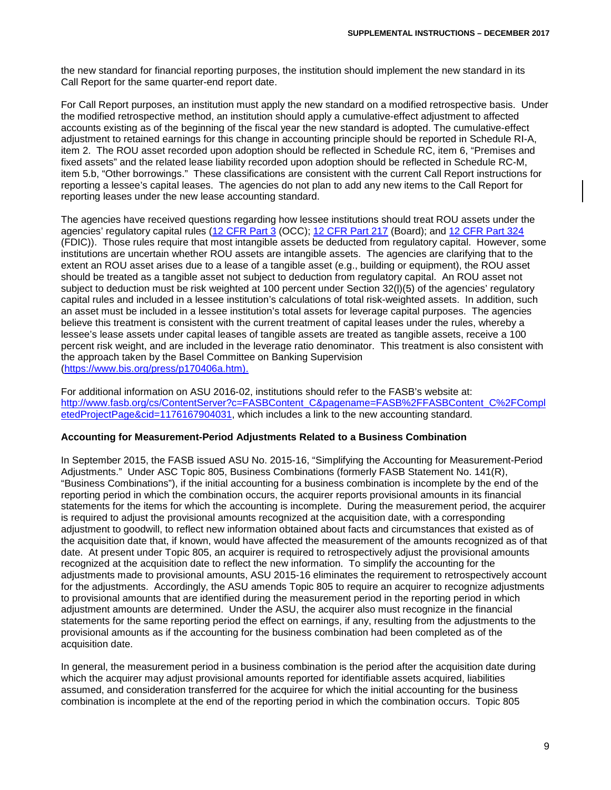the new standard for financial reporting purposes, the institution should implement the new standard in its Call Report for the same quarter-end report date.

For Call Report purposes, an institution must apply the new standard on a modified retrospective basis. Under the modified retrospective method, an institution should apply a cumulative-effect adjustment to affected accounts existing as of the beginning of the fiscal year the new standard is adopted. The cumulative-effect adjustment to retained earnings for this change in accounting principle should be reported in Schedule RI-A, item 2. The ROU asset recorded upon adoption should be reflected in Schedule RC, item 6, "Premises and fixed assets" and the related lease liability recorded upon adoption should be reflected in Schedule RC-M, item 5.b, "Other borrowings." These classifications are consistent with the current Call Report instructions for reporting a lessee's capital leases. The agencies do not plan to add any new items to the Call Report for reporting leases under the new lease accounting standard.

The agencies have received questions regarding how lessee institutions should treat ROU assets under the agencies' regulatory capital rules [\(12 CFR Part 3](https://www.ecfr.gov/cgi-bin/text-idx?SID=6a4386753d17214d1170526af6423e67&mc=true&node=pt12.1.3&rgn=div5) (OCC); [12 CFR Part 217](https://www.ecfr.gov/cgi-bin/text-idx?SID=6a4386753d17214d1170526af6423e67&mc=true&node=pt12.2.217&rgn=div5) (Board); and [12 CFR Part 324](https://www.ecfr.gov/cgi-bin/text-idx?SID=6a4386753d17214d1170526af6423e67&mc=true&node=pt12.5.324&rgn=div5) (FDIC)). Those rules require that most intangible assets be deducted from regulatory capital. However, some institutions are uncertain whether ROU assets are intangible assets. The agencies are clarifying that to the extent an ROU asset arises due to a lease of a tangible asset (e.g., building or equipment), the ROU asset should be treated as a tangible asset not subject to deduction from regulatory capital. An ROU asset not subject to deduction must be risk weighted at 100 percent under Section 32(l)(5) of the agencies' regulatory capital rules and included in a lessee institution's calculations of total risk-weighted assets. In addition, such an asset must be included in a lessee institution's total assets for leverage capital purposes. The agencies believe this treatment is consistent with the current treatment of capital leases under the rules, whereby a lessee's lease assets under capital leases of tangible assets are treated as tangible assets, receive a 100 percent risk weight, and are included in the leverage ratio denominator. This treatment is also consistent with the approach taken by the Basel Committee on Banking Supervision [\(https://www.bis.org/press/p170406a.htm\)](https://www.bis.org/press/p170406a.htm).

For additional information on ASU 2016-02, institutions should refer to the FASB's website at: [http://www.fasb.org/cs/ContentServer?c=FASBContent\\_C&pagename=FASB%2FFASBContent\\_C%2FCompl](http://www.fasb.org/cs/ContentServer?c=FASBContent_C&pagename=FASB%2FFASBContent_C%2FCompletedProjectPage&cid=1176167904031) [etedProjectPage&cid=1176167904031,](http://www.fasb.org/cs/ContentServer?c=FASBContent_C&pagename=FASB%2FFASBContent_C%2FCompletedProjectPage&cid=1176167904031) which includes a link to the new accounting standard.

#### **Accounting for Measurement-Period Adjustments Related to a Business Combination**

In September 2015, the FASB issued ASU No. 2015-16, "Simplifying the Accounting for Measurement-Period Adjustments." Under ASC Topic 805, Business Combinations (formerly FASB Statement No. 141(R), "Business Combinations"), if the initial accounting for a business combination is incomplete by the end of the reporting period in which the combination occurs, the acquirer reports provisional amounts in its financial statements for the items for which the accounting is incomplete. During the measurement period, the acquirer is required to adjust the provisional amounts recognized at the acquisition date, with a corresponding adjustment to goodwill, to reflect new information obtained about facts and circumstances that existed as of the acquisition date that, if known, would have affected the measurement of the amounts recognized as of that date. At present under Topic 805, an acquirer is required to retrospectively adjust the provisional amounts recognized at the acquisition date to reflect the new information. To simplify the accounting for the adjustments made to provisional amounts, ASU 2015-16 eliminates the requirement to retrospectively account for the adjustments. Accordingly, the ASU amends Topic 805 to require an acquirer to recognize adjustments to provisional amounts that are identified during the measurement period in the reporting period in which adjustment amounts are determined. Under the ASU, the acquirer also must recognize in the financial statements for the same reporting period the effect on earnings, if any, resulting from the adjustments to the provisional amounts as if the accounting for the business combination had been completed as of the acquisition date.

In general, the measurement period in a business combination is the period after the acquisition date during which the acquirer may adjust provisional amounts reported for identifiable assets acquired, liabilities assumed, and consideration transferred for the acquiree for which the initial accounting for the business combination is incomplete at the end of the reporting period in which the combination occurs. Topic 805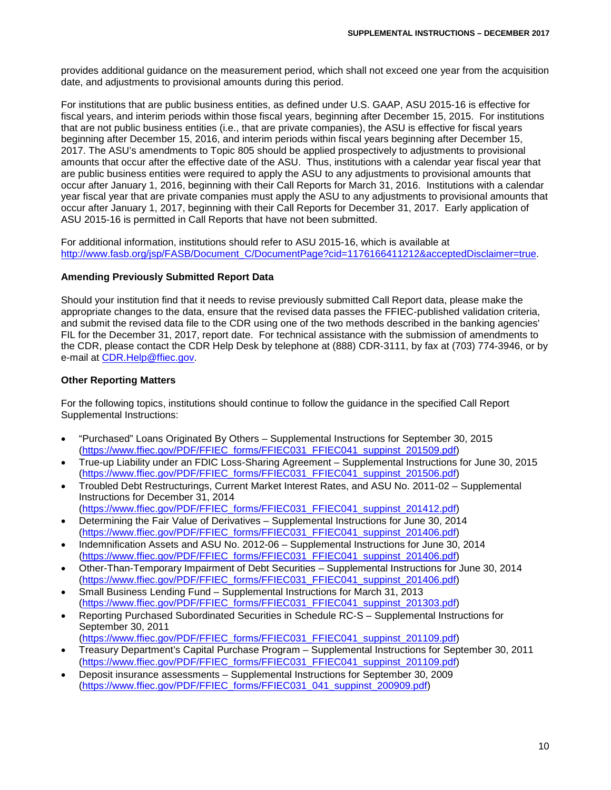provides additional guidance on the measurement period, which shall not exceed one year from the acquisition date, and adjustments to provisional amounts during this period.

For institutions that are public business entities, as defined under U.S. GAAP, ASU 2015-16 is effective for fiscal years, and interim periods within those fiscal years, beginning after December 15, 2015. For institutions that are not public business entities (i.e., that are private companies), the ASU is effective for fiscal years beginning after December 15, 2016, and interim periods within fiscal years beginning after December 15, 2017. The ASU's amendments to Topic 805 should be applied prospectively to adjustments to provisional amounts that occur after the effective date of the ASU. Thus, institutions with a calendar year fiscal year that are public business entities were required to apply the ASU to any adjustments to provisional amounts that occur after January 1, 2016, beginning with their Call Reports for March 31, 2016. Institutions with a calendar year fiscal year that are private companies must apply the ASU to any adjustments to provisional amounts that occur after January 1, 2017, beginning with their Call Reports for December 31, 2017. Early application of ASU 2015-16 is permitted in Call Reports that have not been submitted.

For additional information, institutions should refer to ASU 2015-16, which is available at [http://www.fasb.org/jsp/FASB/Document\\_C/DocumentPage?cid=1176166411212&acceptedDisclaimer=true.](http://www.fasb.org/jsp/FASB/Document_C/DocumentPage?cid=1176166411212&acceptedDisclaimer=true)

# **Amending Previously Submitted Report Data**

Should your institution find that it needs to revise previously submitted Call Report data, please make the appropriate changes to the data, ensure that the revised data passes the FFIEC-published validation criteria, and submit the revised data file to the CDR using one of the two methods described in the banking agencies' FIL for the December 31, 2017, report date. For technical assistance with the submission of amendments to the CDR, please contact the CDR Help Desk by telephone at (888) CDR-3111, by fax at (703) 774-3946, or by e-mail at [CDR.Help@ffiec.gov.](mailto:CDR.Help@ffiec.gov)

# **Other Reporting Matters**

For the following topics, institutions should continue to follow the guidance in the specified Call Report Supplemental Instructions:

- "Purchased" Loans Originated By Others Supplemental Instructions for September 30, 2015 [\(https://www.ffiec.gov/PDF/FFIEC\\_forms/FFIEC031\\_FFIEC041\\_suppinst\\_201509.pdf\)](https://www.ffiec.gov/PDF/FFIEC_forms/FFIEC031_FFIEC041_suppinst_201509.pdf)
- True-up Liability under an FDIC Loss-Sharing Agreement Supplemental Instructions for June 30, 2015 [\(https://www.ffiec.gov/PDF/FFIEC\\_forms/FFIEC031\\_FFIEC041\\_suppinst\\_201506.pdf\)](https://www.ffiec.gov/PDF/FFIEC_forms/FFIEC031_FFIEC041_suppinst_201506.pdf)
- Troubled Debt Restructurings, Current Market Interest Rates, and ASU No. 2011-02 Supplemental Instructions for December 31, 2014
- [\(https://www.ffiec.gov/PDF/FFIEC\\_forms/FFIEC031\\_FFIEC041\\_suppinst\\_201412.pdf\)](https://www.ffiec.gov/PDF/FFIEC_forms/FFIEC031_FFIEC041_suppinst_201412.pdf) • Determining the Fair Value of Derivatives – Supplemental Instructions for June 30, 2014 [\(https://www.ffiec.gov/PDF/FFIEC\\_forms/FFIEC031\\_FFIEC041\\_suppinst\\_201406.pdf\)](https://www.ffiec.gov/PDF/FFIEC_forms/FFIEC031_FFIEC041_suppinst_201406.pdf)
- Indemnification Assets and ASU No. 2012-06 Supplemental Instructions for June 30, 2014 [\(https://www.ffiec.gov/PDF/FFIEC\\_forms/FFIEC031\\_FFIEC041\\_suppinst\\_201406.pdf\)](https://www.ffiec.gov/PDF/FFIEC_forms/FFIEC031_FFIEC041_suppinst_201406.pdf)
- Other-Than-Temporary Impairment of Debt Securities Supplemental Instructions for June 30, 2014 [\(https://www.ffiec.gov/PDF/FFIEC\\_forms/FFIEC031\\_FFIEC041\\_suppinst\\_201406.pdf\)](https://www.ffiec.gov/PDF/FFIEC_forms/FFIEC031_FFIEC041_suppinst_201406.pdf)
- Small Business Lending Fund Supplemental Instructions for March 31, 2013 [\(https://www.ffiec.gov/PDF/FFIEC\\_forms/FFIEC031\\_FFIEC041\\_suppinst\\_201303.pdf\)](https://www.ffiec.gov/PDF/FFIEC_forms/FFIEC031_FFIEC041_suppinst_201303.pdf)
- Reporting Purchased Subordinated Securities in Schedule RC-S Supplemental Instructions for September 30, 2011
- [\(https://www.ffiec.gov/PDF/FFIEC\\_forms/FFIEC031\\_FFIEC041\\_suppinst\\_201109.pdf\)](https://www.ffiec.gov/PDF/FFIEC_forms/FFIEC031_FFIEC041_suppinst_201109.pdf)
- Treasury Department's Capital Purchase Program Supplemental Instructions for September 30, 2011 [\(https://www.ffiec.gov/PDF/FFIEC\\_forms/FFIEC031\\_FFIEC041\\_suppinst\\_201109.pdf\)](https://www.ffiec.gov/PDF/FFIEC_forms/FFIEC031_FFIEC041_suppinst_201109.pdf)
- Deposit insurance assessments Supplemental Instructions for September 30, 2009 [\(https://www.ffiec.gov/PDF/FFIEC\\_forms/FFIEC031\\_041\\_suppinst\\_200909.pdf\)](https://www.ffiec.gov/PDF/FFIEC_forms/FFIEC031_041_suppinst_200909.pdf)